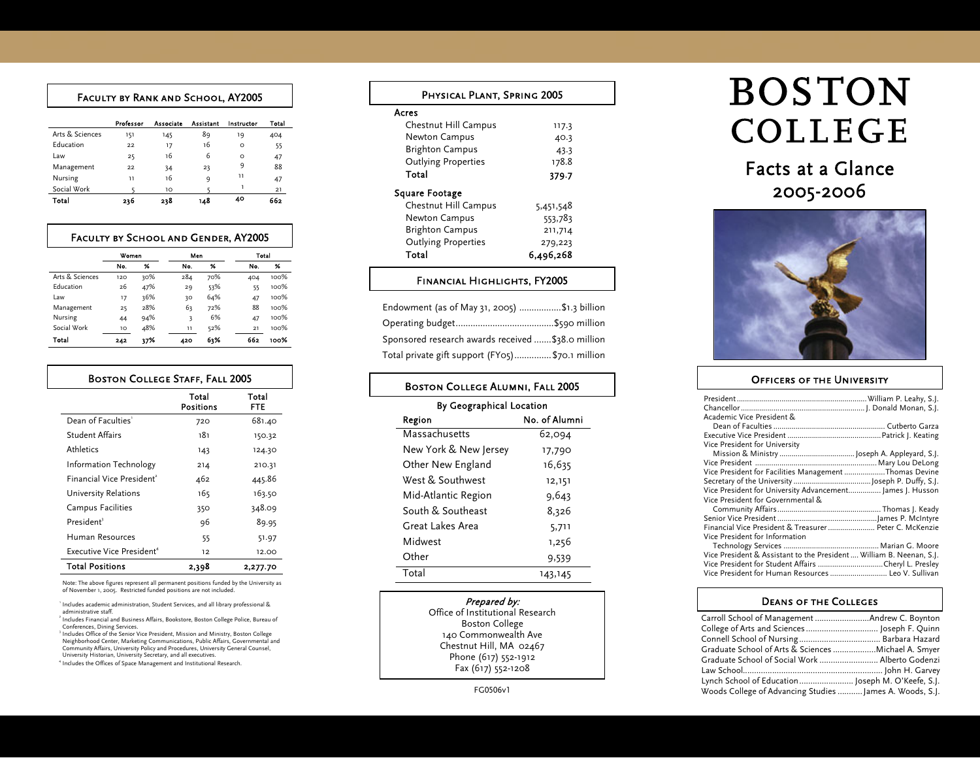#### Faculty by Rank and School, AY2005

|                 | Professor | Associate | Assistant | Instructor | Total |
|-----------------|-----------|-----------|-----------|------------|-------|
| Arts & Sciences | 151       | 145       | 89        | 19         | 404   |
| Education       | 22        | 17        | 16        | $\circ$    | 55    |
| Law             | 25        | 16        | 6         | $\Omega$   | 47    |
| Management      | 22        | 34        | 23        | 9          | 88    |
| Nursing         | 11        | 16        | 9         | 11         | 47    |
| Social Work     |           | 10        |           |            | 21    |
| Total           | 236       | 238       | 148       | 40         | 662   |

#### Faculty by School and Gender, AY2005

|                 | Women |     | Men |     | Total |      |
|-----------------|-------|-----|-----|-----|-------|------|
|                 | No.   | %   | No. | 96  | No.   | %    |
| Arts & Sciences | 120   | 30% | 284 | 70% | 404   | 100% |
| Education       | 26    | 47% | 29  | 53% | 55    | 100% |
| Law             | 17    | 36% | 30  | 64% | 47    | 100% |
| Management      | 25    | 28% | 63  | 72% | 88    | 100% |
| Nursing         | 44    | 94% | 3   | 6%  | 47    | 100% |
| Social Work     | 10    | 48% | 11  | 52% | 21    | 100% |
| Total           | 242   | 37% | 420 | 63% | 662   | 100% |

| <b>BOSTON COLLEGE STAFF, FALL 2005</b> |                           |                     |  |
|----------------------------------------|---------------------------|---------------------|--|
|                                        | Total<br><b>Positions</b> | Total<br><b>FTE</b> |  |
| Dean of Faculties'                     | 720                       | 681.40              |  |
| Student Affairs                        | 181                       | 150.32              |  |
| Athletics                              | 143                       | 124.30              |  |
| Information Technology                 | 214                       | 210.31              |  |
| Financial Vice President <sup>2</sup>  | 462                       | 445.86              |  |
| University Relations                   | 165                       | 163.50              |  |
| Campus Facilities                      | 350                       | 348.09              |  |
| President <sup>3</sup>                 | 96                        | 89.95               |  |
| Human Resources                        | 55                        | 51.97               |  |
| Executive Vice President <sup>4</sup>  | 12                        | 12.00               |  |
| <b>Total Positions</b>                 | 2,398                     | 2,277.70            |  |

 Note: The above figures represent all permanent positions funded by the University as of November 1, 2005. Restricted funded positions are not included.

1 Includes academic administration, Student Services, and all library professional & administrative staff.

2 Includes Financial and Business Affairs, Bookstore, Boston College Police, Bureau of Conferences, Dining Services.

3 Includes Office of the Senior Vice President, Mission and Ministry, Boston College Neighborhood Center, Marketing Communications, Public Affairs, Governmental and Community Affairs, University Policy and Procedures, University General Counsel, University Historian, University Secretary, and all executives.

4 Includes the Offices of Space Management and Institutional Research.

| PHYSICAL PLANT, SPRING 2005 |           |  |  |  |
|-----------------------------|-----------|--|--|--|
| Acres                       |           |  |  |  |
| Chestnut Hill Campus        | 117.3     |  |  |  |
| Newton Campus               | 40.3      |  |  |  |
| <b>Brighton Campus</b>      | 43.3      |  |  |  |
| <b>Outlying Properties</b>  | 178.8     |  |  |  |
| Total                       | 379.7     |  |  |  |
| <b>Square Footage</b>       |           |  |  |  |
| Chestnut Hill Campus        | 5,451,548 |  |  |  |
| Newton Campus               | 553,783   |  |  |  |
| <b>Brighton Campus</b>      | 211,714   |  |  |  |
| <b>Outlying Properties</b>  | 279,223   |  |  |  |
| Total                       | 6.496.268 |  |  |  |
|                             |           |  |  |  |

#### Financial Highlights, FY2005

| Endowment (as of May 31, 2005) \$1.3 billion       |  |
|----------------------------------------------------|--|
|                                                    |  |
| Sponsored research awards received  \$38.0 million |  |
| Total private gift support (FY05)\$70.1 million    |  |

| <b>BOSTON COLLEGE ALUMNI, FALL 2005</b> |               |  |  |  |  |
|-----------------------------------------|---------------|--|--|--|--|
| By Geographical Location                |               |  |  |  |  |
| Region                                  | No. of Alumni |  |  |  |  |
| Massachusetts                           | 62,094        |  |  |  |  |
| New York & New Jersey                   | 17,790        |  |  |  |  |
| Other New England                       | 16,635        |  |  |  |  |
| West & Southwest                        | 12,151        |  |  |  |  |
| Mid-Atlantic Region                     | 9,643         |  |  |  |  |
| South & Southeast                       | 8,326         |  |  |  |  |
| Great Lakes Area                        | 5,711         |  |  |  |  |
| Midwest                                 | 1,256         |  |  |  |  |
| Other                                   | 9,539         |  |  |  |  |
| Total                                   | 143,145       |  |  |  |  |
|                                         |               |  |  |  |  |

Prepared by: Office of Institutional Research Boston College 140 Commonwealth Ave Chestnut Hill, MA 02467 Phone (617) 552-1912 Fax (617) 552-1208

#### FG0506v1

# **BOSTON** COLLEGE

## Facts at a Glance2005-2006



#### **OFFICERS OF THE UNIVERSITY**

| Academic Vice President &                                            |  |
|----------------------------------------------------------------------|--|
|                                                                      |  |
|                                                                      |  |
| Vice President for University                                        |  |
|                                                                      |  |
|                                                                      |  |
| Vice President for Facilities Management Thomas Devine               |  |
|                                                                      |  |
| Vice President for University Advancement James J. Husson            |  |
| Vice President for Governmental &                                    |  |
|                                                                      |  |
|                                                                      |  |
| Financial Vice President & Treasurer  Peter C. McKenzie              |  |
| Vice President for Information                                       |  |
|                                                                      |  |
| Vice President & Assistant to the President  William B. Neenan, S.J. |  |
| Vice President for Student Affairs Cheryl L. Presley                 |  |
| Vice President for Human Resources  Leo V. Sullivan                  |  |

#### Deans of the Colleges

| Graduate School of Arts & Sciences  Michael A. Smyer     |  |
|----------------------------------------------------------|--|
| Graduate School of Social Work  Alberto Godenzi          |  |
|                                                          |  |
|                                                          |  |
| Woods College of Advancing Studies  James A. Woods, S.J. |  |